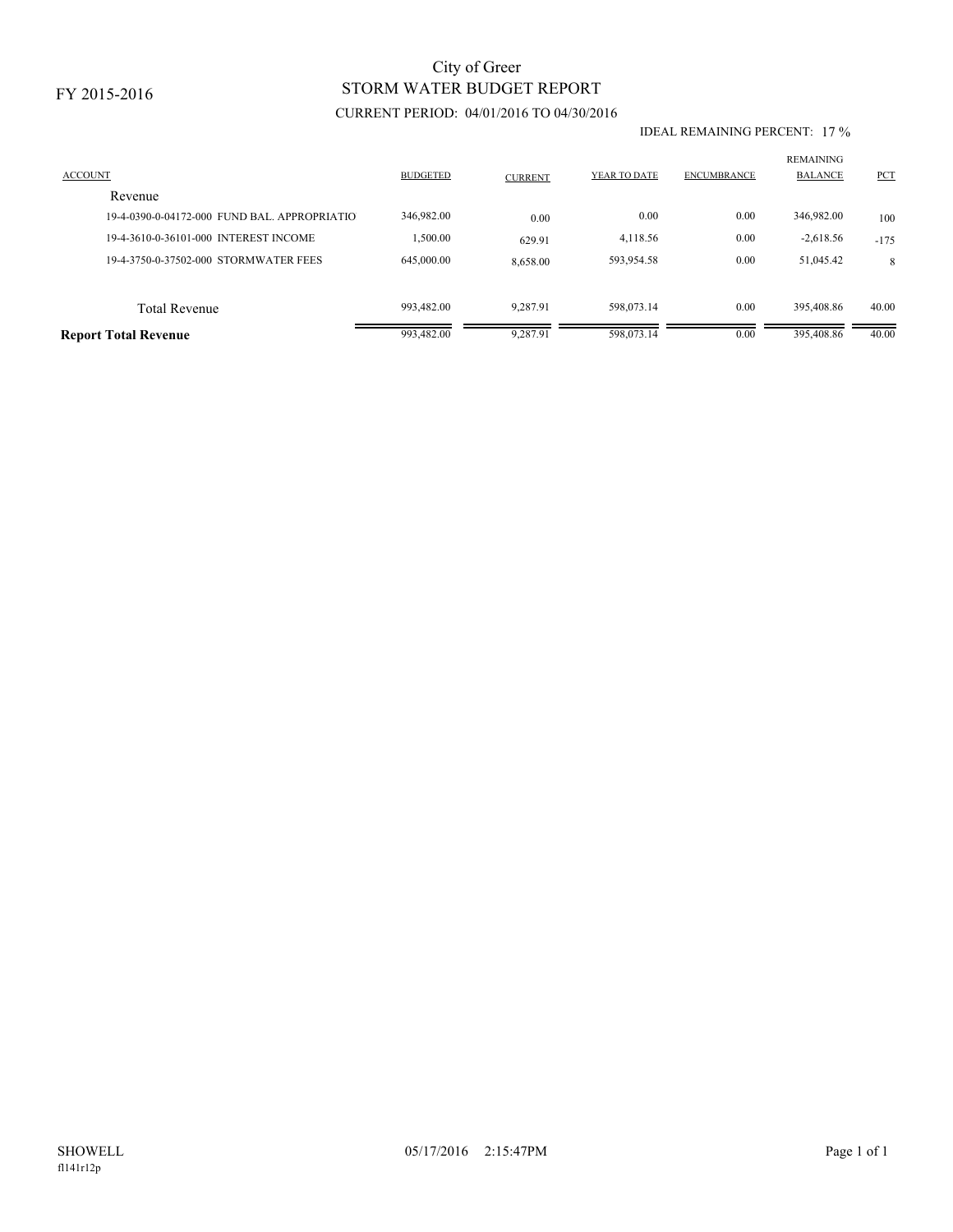FY 2015-2016

## CURRENT PERIOD: 04/01/2016 TO 04/30/2016 STORM WATER BUDGET REPORT City of Greer

## IDEAL REMAINING PERCENT: 17 %

| <b>ACCOUNT</b><br>Revenue                   | <b>BUDGETED</b> | <b>CURRENT</b> | YEAR TO DATE | <b>ENCUMBRANCE</b> | <b>REMAINING</b><br><b>BALANCE</b> | PCT    |
|---------------------------------------------|-----------------|----------------|--------------|--------------------|------------------------------------|--------|
| 19-4-0390-0-04172-000 FUND BAL APPROPRIATIO | 346,982.00      | 0.00           | 0.00         | 0.00               | 346,982.00                         | 100    |
| 19-4-3610-0-36101-000 INTEREST INCOME       | 1,500.00        | 629.91         | 4,118.56     | 0.00               | $-2,618.56$                        | $-175$ |
| 19-4-3750-0-37502-000 STORMWATER FEES       | 645,000.00      | 8,658.00       | 593.954.58   | 0.00               | 51.045.42                          | 8      |
|                                             |                 |                |              |                    |                                    |        |
| <b>Total Revenue</b>                        | 993,482.00      | 9.287.91       | 598,073.14   | 0.00               | 395.408.86                         | 40.00  |
| <b>Report Total Revenue</b>                 | 993,482.00      | 9,287.91       | 598,073.14   | 0.00               | 395,408.86                         | 40.00  |